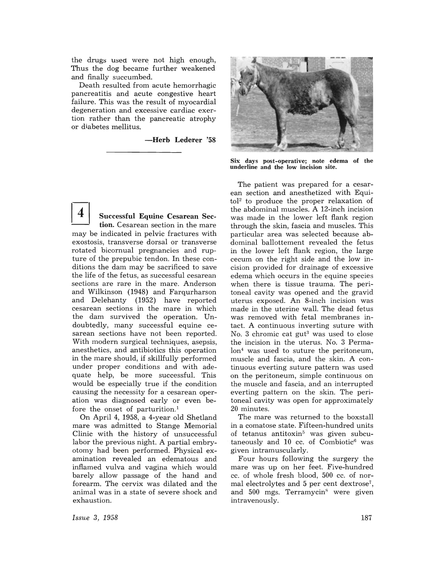the drugs used were not high enough, Thus the dog became further weakened and finally succumbed.

Death resulted from acute hemorrhagic pancreatitis and acute congestive heart failure. This was the result of myocardial degeneration and excessive cardiac exertion rather than the pancreatic atrophy or diabetes mellitus.

-Herb Lederer '58

Successful Equine Cesarean Section. Cesarean section in the mare may be indicated in pelvic fractures with exostosis, transverse dorsal or transverse rotated bicornual pregnancies and rupture of the prepubic tendon. In these conditions the dam may be sacrificed to save the life of the fetus, as successful cesarean sections are rare in the mare. Anderson and Wilkinson (1948) and Farqurharson and Delehanty (1952) have reported cesarean sections in the mare in which the dam survived the operation. Undoubtedly, many successful equine cesarean sections have not been reported. With modern surgical techniques, asepsis, anesthetics, and antibiotics this operation in the mare should, if skillfully performed under proper conditions and with adequate help, be more successful. This would be especially true if the condition causing the necessity for a cesarean operation was diagnosed early or even before the onset of parturition.<sup>1</sup>

On April 4, 1958, a 4-year old Shetland mare was admitted to Stange Memorial Clinic with the history of unsuccessful labor the previous night. A partial embryotomy had been performed. Physical examination revealed an edematous and inflamed vulva and vagina which would barely allow passage of the hand and forearm. The cervix was dilated and the animal was in a state of severe shock and exhaustion.



Six days post-operative; note edema of the underline and the low incision site.

The patient was prepared for a cesarean section and anesthetized with Equi $tol^2$  to produce the proper relaxation of the abdominal muscles. A 12-inch incision was made in the lower left flank region through the skin, fascia and muscles. This particular area was selected because abdominal ballottement revealed the fetus in the lower left flank region, the large cecum on the right side and the low incision provided for drainage of excessive edema which occurs in the equine species when there is tissue trauma. The peritoneal cavity was opened and the gravid uterus exposed. An 8-inch incision was made in the uterine wall. The dead fetus was removed with fetal membranes intact. A continuous inverting suture with No. 3 chromic cat  $gut^3$  was used to close the incision in the uterus. No.3 Permalon<sup>4</sup> was used to suture the peritoneum, muscle and fascia, and the skin. A continuous everting suture pattern was used on the peritoneum, simple continuous on the muscle and fascia, and an interrupted everting pattern on the skin. The peritoneal cavity was open for approximately 20 minutes.

The mare was returned to the boxstall in a comatose state. Fifteen-hundred units of tetanus antitoxin<sup>5</sup> was given subcutaneously and 10 cc. of Combiotic<sup>6</sup> was given intramuscularly.

Four hours following the surgery the mare was up on her feet. Five-hundred cc. of whole fresh blood, 500 cc. of normal electrolytes and 5 per cent dextrose<sup>7</sup>, and  $500$  mgs. Terramycin<sup>8</sup> were given intravenously.

*Issue* 3, 1958